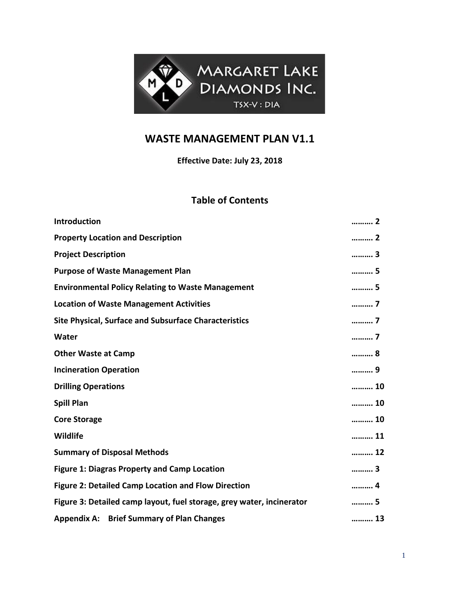

## **WASTE MANAGEMENT PLAN V1.1**

**Effective Date: July 23, 2018**

## **Table of Contents**

| <b>Introduction</b>                                                   | 2       |  |
|-----------------------------------------------------------------------|---------|--|
| <b>Property Location and Description</b>                              | 2       |  |
| <b>Project Description</b>                                            | 3       |  |
| <b>Purpose of Waste Management Plan</b>                               | 5       |  |
| <b>Environmental Policy Relating to Waste Management</b>              | 5       |  |
| <b>Location of Waste Management Activities</b>                        | 7       |  |
| Site Physical, Surface and Subsurface Characteristics                 | 7       |  |
| Water                                                                 | 7       |  |
| <b>Other Waste at Camp</b>                                            | 8       |  |
| <b>Incineration Operation</b>                                         | 9       |  |
| <b>Drilling Operations</b>                                            | 10      |  |
| <b>Spill Plan</b>                                                     | 10      |  |
| <b>Core Storage</b>                                                   | ………… 10 |  |
| Wildlife                                                              | 11      |  |
| <b>Summary of Disposal Methods</b>                                    | 12      |  |
| <b>Figure 1: Diagras Property and Camp Location</b>                   | 3       |  |
| <b>Figure 2: Detailed Camp Location and Flow Direction</b>            | 4       |  |
| Figure 3: Detailed camp layout, fuel storage, grey water, incinerator | 5       |  |
| <b>Appendix A: Brief Summary of Plan Changes</b>                      | 13      |  |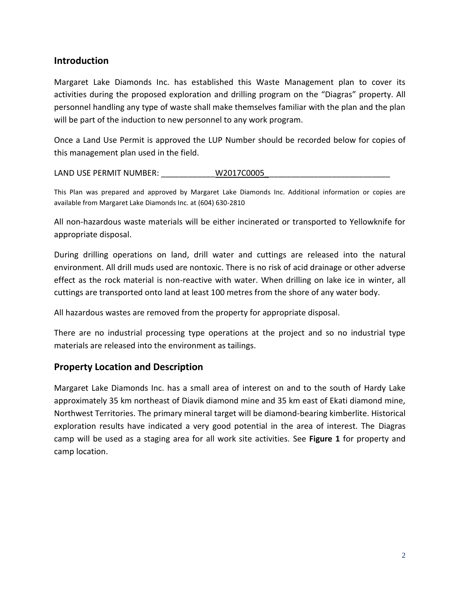#### **Introduction**

Margaret Lake Diamonds Inc. has established this Waste Management plan to cover its activities during the proposed exploration and drilling program on the "Diagras" property. All personnel handling any type of waste shall make themselves familiar with the plan and the plan will be part of the induction to new personnel to any work program.

Once a Land Use Permit is approved the LUP Number should be recorded below for copies of this management plan used in the field.

LAND USE PERMIT NUMBER: W2017C0005

This Plan was prepared and approved by Margaret Lake Diamonds Inc. Additional information or copies are available from Margaret Lake Diamonds Inc. at (604) 630-2810

All non-hazardous waste materials will be either incinerated or transported to Yellowknife for appropriate disposal.

During drilling operations on land, drill water and cuttings are released into the natural environment. All drill muds used are nontoxic. There is no risk of acid drainage or other adverse effect as the rock material is non-reactive with water. When drilling on lake ice in winter, all cuttings are transported onto land at least 100 metres from the shore of any water body.

All hazardous wastes are removed from the property for appropriate disposal.

There are no industrial processing type operations at the project and so no industrial type materials are released into the environment as tailings.

#### **Property Location and Description**

Margaret Lake Diamonds Inc. has a small area of interest on and to the south of Hardy Lake approximately 35 km northeast of Diavik diamond mine and 35 km east of Ekati diamond mine, Northwest Territories. The primary mineral target will be diamond-bearing kimberlite. Historical exploration results have indicated a very good potential in the area of interest. The Diagras camp will be used as a staging area for all work site activities. See **Figure 1** for property and camp location.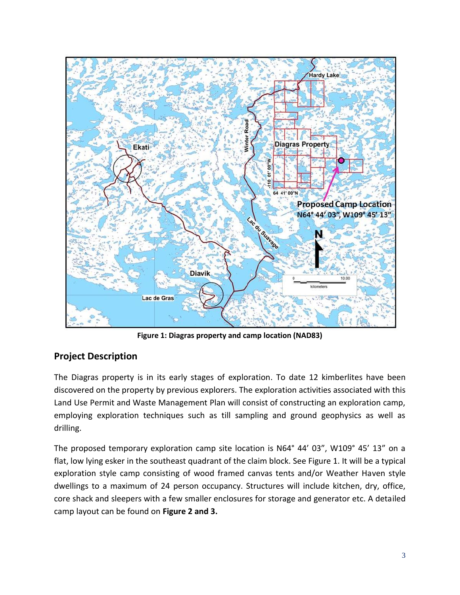

**Figure 1: Diagras property and camp location (NAD83)**

## **Project Description**

The Diagras property is in its early stages of exploration. To date 12 kimberlites have been discovered on the property by previous explorers. The exploration activities associated with this Land Use Permit and Waste Management Plan will consist of constructing an exploration camp, employing exploration techniques such as till sampling and ground geophysics as well as drilling.

The proposed temporary exploration camp site location is N64° 44' 03", W109° 45' 13" on a flat, low lying esker in the southeast quadrant of the claim block. See Figure 1. It will be a typical exploration style camp consisting of wood framed canvas tents and/or Weather Haven style dwellings to a maximum of 24 person occupancy. Structures will include kitchen, dry, office, core shack and sleepers with a few smaller enclosures for storage and generator etc. A detailed camp layout can be found on **Figure 2 and 3.**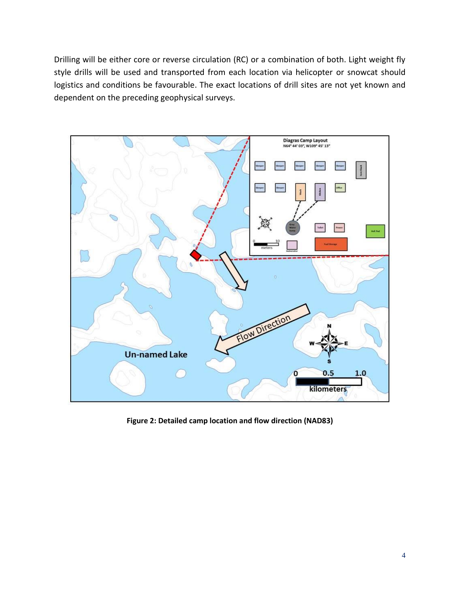Drilling will be either core or reverse circulation (RC) or a combination of both. Light weight fly style drills will be used and transported from each location via helicopter or snowcat should logistics and conditions be favourable. The exact locations of drill sites are not yet known and dependent on the preceding geophysical surveys.



**Figure 2: Detailed camp location and flow direction (NAD83)**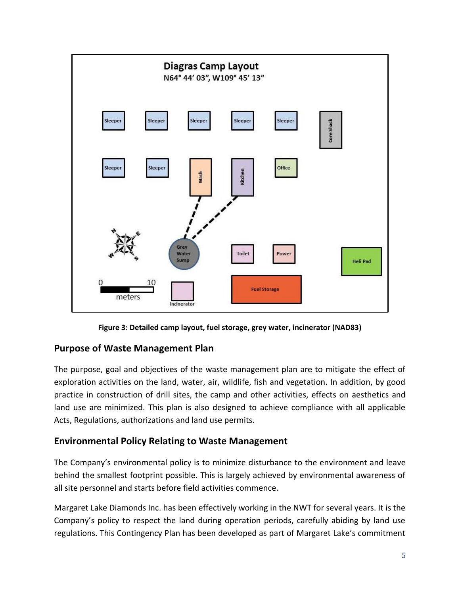

**Figure 3: Detailed camp layout, fuel storage, grey water, incinerator (NAD83)**

#### **Purpose of Waste Management Plan**

The purpose, goal and objectives of the waste management plan are to mitigate the effect of exploration activities on the land, water, air, wildlife, fish and vegetation. In addition, by good practice in construction of drill sites, the camp and other activities, effects on aesthetics and land use are minimized. This plan is also designed to achieve compliance with all applicable Acts, Regulations, authorizations and land use permits.

## **Environmental Policy Relating to Waste Management**

The Company's environmental policy is to minimize disturbance to the environment and leave behind the smallest footprint possible. This is largely achieved by environmental awareness of all site personnel and starts before field activities commence.

Margaret Lake Diamonds Inc. has been effectively working in the NWT for several years. It is the Company's policy to respect the land during operation periods, carefully abiding by land use regulations. This Contingency Plan has been developed as part of Margaret Lake's commitment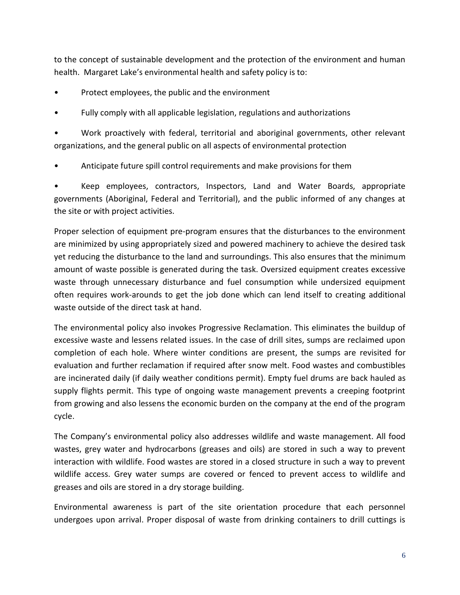to the concept of sustainable development and the protection of the environment and human health. Margaret Lake's environmental health and safety policy is to:

- Protect employees, the public and the environment
- Fully comply with all applicable legislation, regulations and authorizations

• Work proactively with federal, territorial and aboriginal governments, other relevant organizations, and the general public on all aspects of environmental protection

• Anticipate future spill control requirements and make provisions for them

• Keep employees, contractors, Inspectors, Land and Water Boards, appropriate governments (Aboriginal, Federal and Territorial), and the public informed of any changes at the site or with project activities.

Proper selection of equipment pre-program ensures that the disturbances to the environment are minimized by using appropriately sized and powered machinery to achieve the desired task yet reducing the disturbance to the land and surroundings. This also ensures that the minimum amount of waste possible is generated during the task. Oversized equipment creates excessive waste through unnecessary disturbance and fuel consumption while undersized equipment often requires work-arounds to get the job done which can lend itself to creating additional waste outside of the direct task at hand.

The environmental policy also invokes Progressive Reclamation. This eliminates the buildup of excessive waste and lessens related issues. In the case of drill sites, sumps are reclaimed upon completion of each hole. Where winter conditions are present, the sumps are revisited for evaluation and further reclamation if required after snow melt. Food wastes and combustibles are incinerated daily (if daily weather conditions permit). Empty fuel drums are back hauled as supply flights permit. This type of ongoing waste management prevents a creeping footprint from growing and also lessens the economic burden on the company at the end of the program cycle.

The Company's environmental policy also addresses wildlife and waste management. All food wastes, grey water and hydrocarbons (greases and oils) are stored in such a way to prevent interaction with wildlife. Food wastes are stored in a closed structure in such a way to prevent wildlife access. Grey water sumps are covered or fenced to prevent access to wildlife and greases and oils are stored in a dry storage building.

Environmental awareness is part of the site orientation procedure that each personnel undergoes upon arrival. Proper disposal of waste from drinking containers to drill cuttings is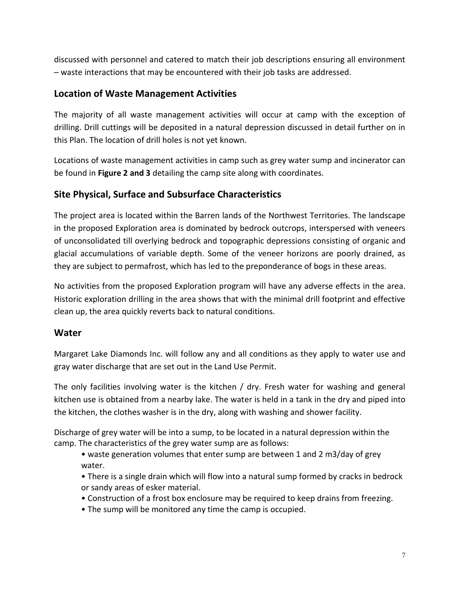discussed with personnel and catered to match their job descriptions ensuring all environment – waste interactions that may be encountered with their job tasks are addressed.

#### **Location of Waste Management Activities**

The majority of all waste management activities will occur at camp with the exception of drilling. Drill cuttings will be deposited in a natural depression discussed in detail further on in this Plan. The location of drill holes is not yet known.

Locations of waste management activities in camp such as grey water sump and incinerator can be found in **Figure 2 and 3** detailing the camp site along with coordinates.

## **Site Physical, Surface and Subsurface Characteristics**

The project area is located within the Barren lands of the Northwest Territories. The landscape in the proposed Exploration area is dominated by bedrock outcrops, interspersed with veneers of unconsolidated till overlying bedrock and topographic depressions consisting of organic and glacial accumulations of variable depth. Some of the veneer horizons are poorly drained, as they are subject to permafrost, which has led to the preponderance of bogs in these areas.

No activities from the proposed Exploration program will have any adverse effects in the area. Historic exploration drilling in the area shows that with the minimal drill footprint and effective clean up, the area quickly reverts back to natural conditions.

#### **Water**

Margaret Lake Diamonds Inc. will follow any and all conditions as they apply to water use and gray water discharge that are set out in the Land Use Permit.

The only facilities involving water is the kitchen  $/$  dry. Fresh water for washing and general kitchen use is obtained from a nearby lake. The water is held in a tank in the dry and piped into the kitchen, the clothes washer is in the dry, along with washing and shower facility.

Discharge of grey water will be into a sump, to be located in a natural depression within the camp. The characteristics of the grey water sump are as follows:

- waste generation volumes that enter sump are between 1 and 2 m3/day of grey water.
- There is a single drain which will flow into a natural sump formed by cracks in bedrock or sandy areas of esker material.
- Construction of a frost box enclosure may be required to keep drains from freezing.
- The sump will be monitored any time the camp is occupied.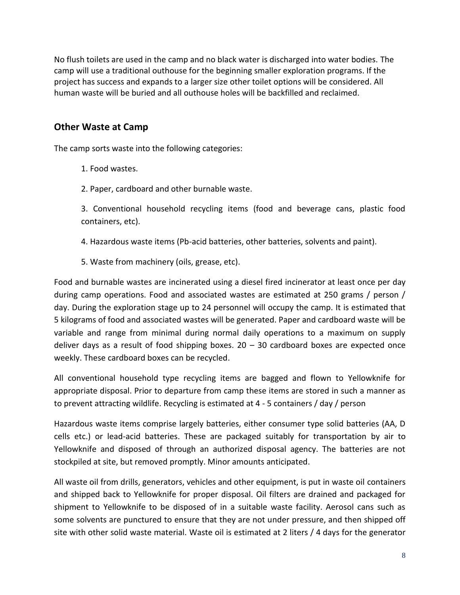No flush toilets are used in the camp and no black water is discharged into water bodies. The camp will use a traditional outhouse for the beginning smaller exploration programs. If the project has success and expands to a larger size other toilet options will be considered. All human waste will be buried and all outhouse holes will be backfilled and reclaimed.

#### **Other Waste at Camp**

The camp sorts waste into the following categories:

- 1. Food wastes.
- 2. Paper, cardboard and other burnable waste.

3. Conventional household recycling items (food and beverage cans, plastic food containers, etc).

- 4. Hazardous waste items (Pb-acid batteries, other batteries, solvents and paint).
- 5. Waste from machinery (oils, grease, etc).

Food and burnable wastes are incinerated using a diesel fired incinerator at least once per day during camp operations. Food and associated wastes are estimated at 250 grams / person / day. During the exploration stage up to 24 personnel will occupy the camp. It is estimated that 5 kilograms of food and associated wastes will be generated. Paper and cardboard waste will be variable and range from minimal during normal daily operations to a maximum on supply deliver days as a result of food shipping boxes.  $20 - 30$  cardboard boxes are expected once weekly. These cardboard boxes can be recycled.

All conventional household type recycling items are bagged and flown to Yellowknife for appropriate disposal. Prior to departure from camp these items are stored in such a manner as to prevent attracting wildlife. Recycling is estimated at 4 - 5 containers / day / person

Hazardous waste items comprise largely batteries, either consumer type solid batteries (AA, D cells etc.) or lead-acid batteries. These are packaged suitably for transportation by air to Yellowknife and disposed of through an authorized disposal agency. The batteries are not stockpiled at site, but removed promptly. Minor amounts anticipated.

All waste oil from drills, generators, vehicles and other equipment, is put in waste oil containers and shipped back to Yellowknife for proper disposal. Oil filters are drained and packaged for shipment to Yellowknife to be disposed of in a suitable waste facility. Aerosol cans such as some solvents are punctured to ensure that they are not under pressure, and then shipped off site with other solid waste material. Waste oil is estimated at 2 liters / 4 days for the generator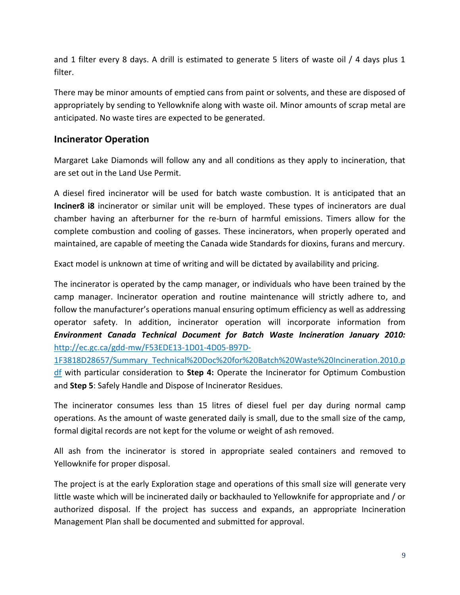and 1 filter every 8 days. A drill is estimated to generate 5 liters of waste oil / 4 days plus 1 filter.

There may be minor amounts of emptied cans from paint or solvents, and these are disposed of appropriately by sending to Yellowknife along with waste oil. Minor amounts of scrap metal are anticipated. No waste tires are expected to be generated.

#### **Incinerator Operation**

Margaret Lake Diamonds will follow any and all conditions as they apply to incineration, that are set out in the Land Use Permit.

A diesel fired incinerator will be used for batch waste combustion. It is anticipated that an **Inciner8 i8** incinerator or similar unit will be employed. These types of incinerators are dual chamber having an afterburner for the re-burn of harmful emissions. Timers allow for the complete combustion and cooling of gasses. These incinerators, when properly operated and maintained, are capable of meeting the Canada wide Standards for dioxins, furans and mercury.

Exact model is unknown at time of writing and will be dictated by availability and pricing.

The incinerator is operated by the camp manager, or individuals who have been trained by the camp manager. Incinerator operation and routine maintenance will strictly adhere to, and follow the manufacturer's operations manual ensuring optimum efficiency as well as addressing operator safety. In addition, incinerator operation will incorporate information from *Environment Canada Technical Document for Batch Waste Incineration January 2010:* [http://ec.gc.ca/gdd-mw/F53EDE13-1D01-4D05-B97D-](http://ec.gc.ca/gdd-mw/F53EDE13-1D01-4D05-B97D-1F3818D28657/Summary_Technical%20Doc%20for%20Batch%20Waste%20Incineration.2010.pdf)

[1F3818D28657/Summary\\_Technical%20Doc%20for%20Batch%20Waste%20Incineration.2010.p](http://ec.gc.ca/gdd-mw/F53EDE13-1D01-4D05-B97D-1F3818D28657/Summary_Technical%20Doc%20for%20Batch%20Waste%20Incineration.2010.pdf) [df](http://ec.gc.ca/gdd-mw/F53EDE13-1D01-4D05-B97D-1F3818D28657/Summary_Technical%20Doc%20for%20Batch%20Waste%20Incineration.2010.pdf) with particular consideration to **Step 4:** Operate the Incinerator for Optimum Combustion and **Step 5**: Safely Handle and Dispose of Incinerator Residues.

The incinerator consumes less than 15 litres of diesel fuel per day during normal camp operations. As the amount of waste generated daily is small, due to the small size of the camp, formal digital records are not kept for the volume or weight of ash removed.

All ash from the incinerator is stored in appropriate sealed containers and removed to Yellowknife for proper disposal.

The project is at the early Exploration stage and operations of this small size will generate very little waste which will be incinerated daily or backhauled to Yellowknife for appropriate and / or authorized disposal. If the project has success and expands, an appropriate Incineration Management Plan shall be documented and submitted for approval.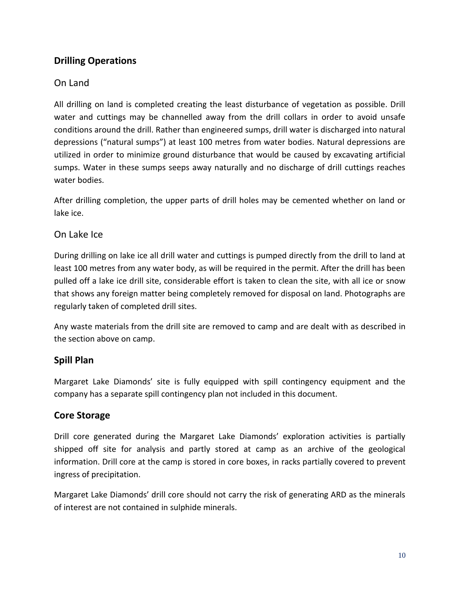## **Drilling Operations**

#### On Land

All drilling on land is completed creating the least disturbance of vegetation as possible. Drill water and cuttings may be channelled away from the drill collars in order to avoid unsafe conditions around the drill. Rather than engineered sumps, drill water is discharged into natural depressions ("natural sumps") at least 100 metres from water bodies. Natural depressions are utilized in order to minimize ground disturbance that would be caused by excavating artificial sumps. Water in these sumps seeps away naturally and no discharge of drill cuttings reaches water bodies.

After drilling completion, the upper parts of drill holes may be cemented whether on land or lake ice.

#### On Lake Ice

During drilling on lake ice all drill water and cuttings is pumped directly from the drill to land at least 100 metres from any water body, as will be required in the permit. After the drill has been pulled off a lake ice drill site, considerable effort is taken to clean the site, with all ice or snow that shows any foreign matter being completely removed for disposal on land. Photographs are regularly taken of completed drill sites.

Any waste materials from the drill site are removed to camp and are dealt with as described in the section above on camp.

#### **Spill Plan**

Margaret Lake Diamonds' site is fully equipped with spill contingency equipment and the company has a separate spill contingency plan not included in this document.

#### **Core Storage**

Drill core generated during the Margaret Lake Diamonds' exploration activities is partially shipped off site for analysis and partly stored at camp as an archive of the geological information. Drill core at the camp is stored in core boxes, in racks partially covered to prevent ingress of precipitation.

Margaret Lake Diamonds' drill core should not carry the risk of generating ARD as the minerals of interest are not contained in sulphide minerals.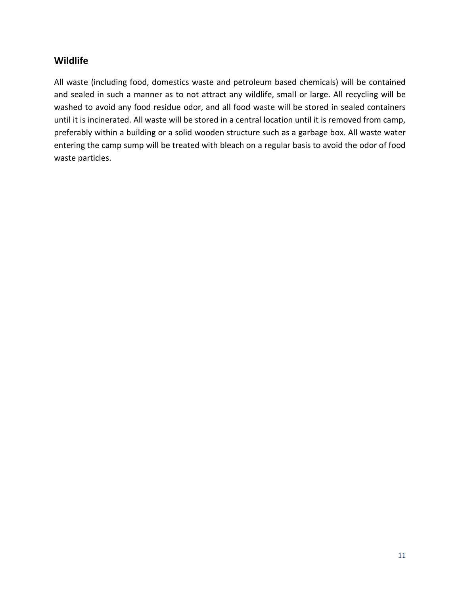#### **Wildlife**

All waste (including food, domestics waste and petroleum based chemicals) will be contained and sealed in such a manner as to not attract any wildlife, small or large. All recycling will be washed to avoid any food residue odor, and all food waste will be stored in sealed containers until it is incinerated. All waste will be stored in a central location until it is removed from camp, preferably within a building or a solid wooden structure such as a garbage box. All waste water entering the camp sump will be treated with bleach on a regular basis to avoid the odor of food waste particles.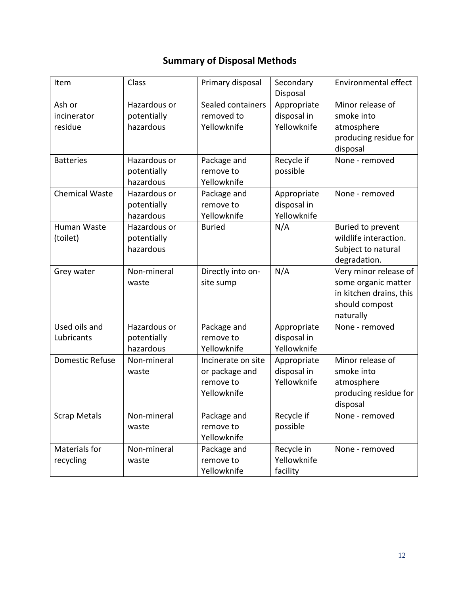# **Summary of Disposal Methods**

| Item                             | Class                                    | Primary disposal                                                 | Secondary<br>Disposal                     | Environmental effect                                                                                   |
|----------------------------------|------------------------------------------|------------------------------------------------------------------|-------------------------------------------|--------------------------------------------------------------------------------------------------------|
| Ash or<br>incinerator<br>residue | Hazardous or<br>potentially<br>hazardous | Sealed containers<br>removed to<br>Yellowknife                   | Appropriate<br>disposal in<br>Yellowknife | Minor release of<br>smoke into<br>atmosphere<br>producing residue for<br>disposal                      |
| <b>Batteries</b>                 | Hazardous or<br>potentially<br>hazardous | Package and<br>remove to<br>Yellowknife                          | Recycle if<br>possible                    | None - removed                                                                                         |
| <b>Chemical Waste</b>            | Hazardous or<br>potentially<br>hazardous | Package and<br>remove to<br>Yellowknife                          | Appropriate<br>disposal in<br>Yellowknife | None - removed                                                                                         |
| Human Waste<br>(toilet)          | Hazardous or<br>potentially<br>hazardous | <b>Buried</b>                                                    | N/A                                       | Buried to prevent<br>wildlife interaction.<br>Subject to natural<br>degradation.                       |
| Grey water                       | Non-mineral<br>waste                     | Directly into on-<br>site sump                                   | N/A                                       | Very minor release of<br>some organic matter<br>in kitchen drains, this<br>should compost<br>naturally |
| Used oils and<br>Lubricants      | Hazardous or<br>potentially<br>hazardous | Package and<br>remove to<br>Yellowknife                          | Appropriate<br>disposal in<br>Yellowknife | None - removed                                                                                         |
| <b>Domestic Refuse</b>           | Non-mineral<br>waste                     | Incinerate on site<br>or package and<br>remove to<br>Yellowknife | Appropriate<br>disposal in<br>Yellowknife | Minor release of<br>smoke into<br>atmosphere<br>producing residue for<br>disposal                      |
| <b>Scrap Metals</b>              | Non-mineral<br>waste                     | Package and<br>remove to<br>Yellowknife                          | Recycle if<br>possible                    | None - removed                                                                                         |
| Materials for<br>recycling       | Non-mineral<br>waste                     | Package and<br>remove to<br>Yellowknife                          | Recycle in<br>Yellowknife<br>facility     | None - removed                                                                                         |